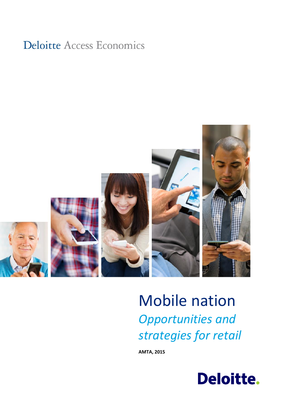## **Deloitte Access Economics**



# Mobile nation *Opportunities and strategies for retail*

**AMTA, 2015**

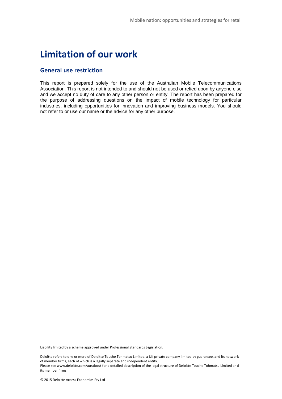### **Limitation of our work**

#### **General use restriction**

This report is prepared solely for the use of the Australian Mobile Telecommunications Association. This report is not intended to and should not be used or relied upon by anyone else and we accept no duty of care to any other person or entity. The report has been prepared for the purpose of addressing questions on the impact of mobile technology for particular industries, including opportunities for innovation and improving business models. You should not refer to or use our name or the advice for any other purpose.

Liability limited by a scheme approved under Professional Standards Legislation.

Deloitte refers to one or more of Deloitte Touche Tohmatsu Limited, a UK private company limited by guarantee, and its network of member firms, each of which is a legally separate and independent entity. Please see www.deloitte.com/au/about for a detailed description of the legal structure of Deloitte Touche Tohmatsu Limited and its member firms.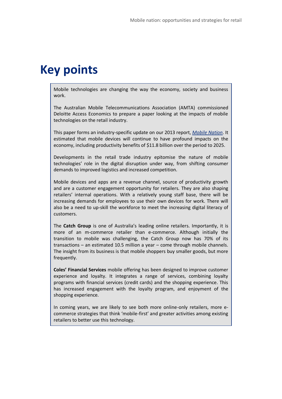### **Key points**

Mobile technologies are changing the way the economy, society and business work.

The Australian Mobile Telecommunications Association (AMTA) commissioned Deloitte Access Economics to prepare a paper looking at the impacts of mobile technologies on the retail industry.

This paper forms an industry-specific update on our 2013 report, *[Mobile Nation](http://www.amta.org.au/files/Mobile.nation.The.economic.and.social.impact.of.mobile.technology.pdf)*. It estimated that mobile devices will continue to have profound impacts on the economy, including productivity benefits of \$11.8 billion over the period to 2025.

Developments in the retail trade industry epitomise the nature of mobile technologies' role in the digital disruption under way, from shifting consumer demands to improved logistics and increased competition.

Mobile devices and apps are a revenue channel, source of productivity growth and are a customer engagement opportunity for retailers. They are also shaping retailers' internal operations. With a relatively young staff base, there will be increasing demands for employees to use their own devices for work. There will also be a need to up-skill the workforce to meet the increasing digital literacy of customers.

The **Catch Group** is one of Australia's leading online retailers. Importantly, it is more of an m-commerce retailer than e-commerce. Although initially the transition to mobile was challenging, the Catch Group now has 70% of its transactions – an estimated 10.5 million a year – come through mobile channels. The insight from its business is that mobile shoppers buy smaller goods, but more frequently.

**Coles' Financial Services** mobile offering has been designed to improve customer experience and loyalty. It integrates a range of services, combining loyalty programs with financial services (credit cards) and the shopping experience. This has increased engagement with the loyalty program, and enjoyment of the shopping experience.

In coming years, we are likely to see both more online-only retailers, more ecommerce strategies that think 'mobile-first' and greater activities among existing retailers to better use this technology.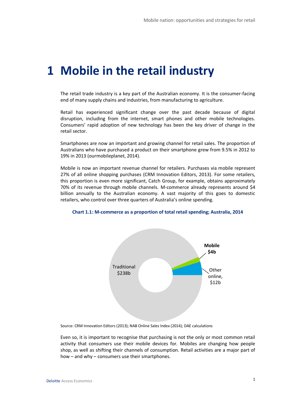## **1 Mobile in the retail industry**

The retail trade industry is a key part of the Australian economy. It is the consumer-facing end of many supply chains and industries, from manufacturing to agriculture.

Retail has experienced significant change over the past decade because of digital disruption, including from the internet, smart phones and other mobile technologies. Consumers' rapid adoption of new technology has been the key driver of change in the retail sector.

Smartphones are now an important and growing channel for retail sales. The proportion of Australians who have purchased a product on their smartphone grew from 9.5% in 2012 to 19% in 2013 (ourmobileplanet, 2014).

Mobile is now an important revenue channel for retailers. Purchases via mobile represent 27% of all online shopping purchases (CRM Innovation Editors, 2013). For some retailers, this proportion is even more significant, Catch Group, for example, obtains approximately 70% of its revenue through mobile channels. M-commerce already represents around \$4 billion annually to the Australian economy. A vast majority of this goes to domestic retailers, who control over three quarters of Australia's online spending.



#### **Chart 1.1: M-commerce as a proportion of total retail spending; Australia, 2014**

Source: CRM Innovation Editors (2013); NAB Online Sales Index (2014); DAE calculations

Even so, it is important to recognise that purchasing is not the only or most common retail activity that consumers use their mobile devices for. Mobiles are changing how people shop, as well as shifting their channels of consumption. Retail activities are a major part of how – and why – consumers use their smartphones.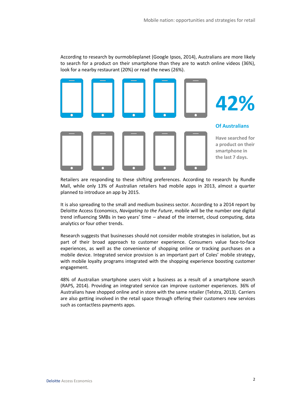According to research by ourmobileplanet (Google Ipsos, 2014), Australians are more likely to search for a product on their smartphone than they are to watch online videos (36%), look for a nearby restaurant (20%) or read the news (26%).



Retailers are responding to these shifting preferences. According to research by Rundle Mall, while only 13% of Australian retailers had mobile apps in 2013, almost a quarter planned to introduce an app by 2015.

It is also spreading to the small and medium business sector. According to a 2014 report by Deloitte Access Economics, *Navigating to the Future*, mobile will be the number one digital trend influencing SMBs in two years' time – ahead of the internet, cloud computing, data analytics or four other trends.

Research suggests that businesses should not consider mobile strategies in isolation, but as part of their broad approach to customer experience. Consumers value face-to-face experiences, as well as the convenience of shopping online or tracking purchases on a mobile device. Integrated service provision is an important part of Coles' mobile strategy, with mobile loyalty programs integrated with the shopping experience boosting customer engagement.

48% of Australian smartphone users visit a business as a result of a smartphone search (RAPS, 2014). Providing an integrated service can improve customer experiences. 36% of Australians have shopped online and in store with the same retailer (Telstra, 2013). Carriers are also getting involved in the retail space through offering their customers new services such as contactless payments apps.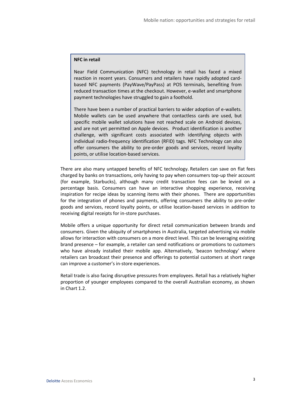#### **NFC in retail**

Near Field Communication (NFC) technology in retail has faced a mixed reaction in recent years. Consumers and retailers have rapidly adopted cardbased NFC payments (PayWave/PayPass) at POS terminals, benefiting from reduced transaction times at the checkout. However, e-wallet and smartphone payment technologies have struggled to gain a foothold.

There have been a number of practical barriers to wider adoption of e-wallets. Mobile wallets can be used anywhere that contactless cards are used, but specific mobile wallet solutions have not reached scale on Android devices, and are not yet permitted on Apple devices. Product identification is another challenge, with significant costs associated with identifying objects with individual radio-frequency identification (RFID) tags. NFC Technology can also offer consumers the ability to pre-order goods and services, record loyalty points, or utilise location-based services.

There are also many untapped benefits of NFC technology. Retailers can save on flat fees charged by banks on transactions, only having to pay when consumers top-up their account (for example, Starbucks), although many credit transaction fees can be levied on a percentage basis. Consumers can have an interactive shopping experience, receiving inspiration for recipe ideas by scanning items with their phones. There are opportunities for the integration of phones and payments, offering consumers the ability to pre-order goods and services, record loyalty points, or utilise location-based services in addition to receiving digital receipts for in-store purchases.

Mobile offers a unique opportunity for direct retail communication between brands and consumers. Given the ubiquity of smartphones in Australia, targeted advertising via mobile allows for interaction with consumers on a more direct level. This can be leveraging existing brand presence – for example, a retailer can send notifications or promotions to customers who have already installed their mobile app. Alternatively, 'beacon technology' where retailers can broadcast their presence and offerings to potential customers at short range can improve a customer's in-store experiences.

Retail trade is also facing disruptive pressures from employees. Retail has a relatively higher proportion of younger employees compared to the overall Australian economy, as shown i[n Chart 1.2.](#page-6-0)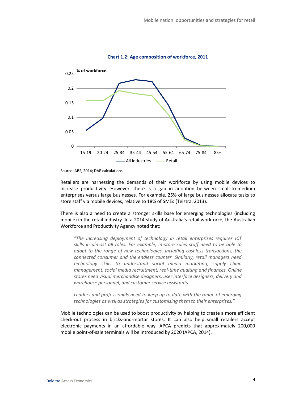<span id="page-6-0"></span>

**Chart 1.2: Age composition of workforce, 2011**

Retailers are harnessing the demands of their workforce by using mobile devices to increase productivity. However, there is a gap in adoption between small-to-medium enterprises versus large businesses. For example, 25% of large businesses allocate tasks to store staff via mobile devices, relative to 18% of SMEs (Telstra, 2013).

There is also a need to create a stronger skills base for emerging technologies (including mobile) in the retail industry. In a 2014 study of Australia's retail workforce, the Australian Workforce and Productivity Agency noted that:

*"The increasing deployment of technology in retail enterprises requires ICT skills in almost all roles. For example, in-store sales staff need to be able to adapt to the range of new technologies, including cashless transactions, the connected consumer and the endless counter. Similarly, retail managers need technology skills to understand social media marketing, supply chain management, social media recruitment, real-time auditing and finances. Online stores need visual merchandise designers, user interface designers, delivery and warehouse personnel, and customer service assistants.*

*Leaders and professionals need to keep up to date with the range of emerging technologies as well as strategies for customising them to their enterprises."* 

Mobile technologies can be used to boost productivity by helping to create a more efficient check-out process in bricks-and-mortar stores. It can also help small retailers accept electronic payments in an affordable way. APCA predicts that approximately 200,000 mobile point-of-sale terminals will be introduced by 2020 (APCA, 2014).

Source: ABS, 2014; DAE calculations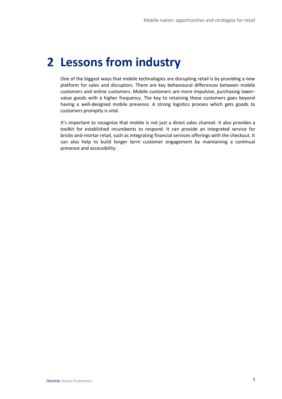## **2 Lessons from industry**

One of the biggest ways that mobile technologies are disrupting retail is by providing a new platform for sales and disruptors. There are key behavioural differences between mobile customers and online customers. Mobile customers are more impulsive, purchasing lowervalue goods with a higher frequency. The key to retaining these customers goes beyond having a well-designed mobile presence. A strong logistics process which gets goods to customers promptly is vital.

It's important to recognise that mobile is not just a direct sales channel. It also provides a toolkit for established incumbents to respond. It can provide an integrated service for bricks-and-mortar retail, such as integrating financial services offerings with the checkout. It can also help to build longer term customer engagement by maintaining a continual presence and accessibility.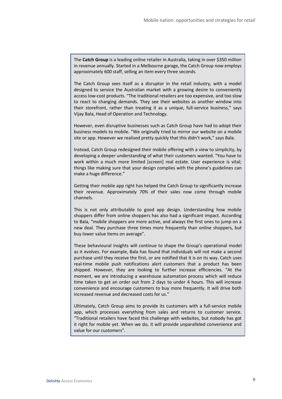The **Catch Group** is a leading online retailer in Australia, taking in over \$350 million in revenue annually. Started in a Melbourne garage, the Catch Group now employs approximately 600 staff, selling an item every three seconds.

The Catch Group sees itself as a disruptor in the retail industry, with a model designed to service the Australian market with a growing desire to conveniently access low-cost products. "The traditional retailers are too expensive, and too slow to react to changing demands. They see their websites as another window into their storefront, rather than treating it as a unique, full-service business," says Vijay Bala, Head of Operation and Technology.

However, even disruptive businesses such as Catch Group have had to adopt their business models to mobile. "We originally tried to mirror our website on a mobile site or app. However we realised pretty quickly that this didn't work," says Bala.

Instead, Catch Group redesigned their mobile offering with a view to simplicity, by developing a deeper understanding of what their customers wanted. "You have to work within a much more limited [screen] real estate. User experience is vital; things like making sure that your design complies with the phone's guidelines can make a huge difference."

Getting their mobile app right has helped the Catch Group to significantly increase their revenue. Approximately 70% of their sales now come through mobile channels.

This is not only attributable to good app design. Understanding how mobile shoppers differ from online shoppers has also had a significant impact. According to Bala, "mobile shoppers are more active, and always the first ones to jump on a new deal. They purchase three times more frequently than online shoppers, but buy lower value items on average".

These behavioural insights will continue to shape the Group's operational model as it evolves. For example, Bala has found that individuals will not make a second purchase until they receive the first, or are notified that it is on its way. Catch uses real-time mobile push notifications alert customers that a product has been shipped. However, they are looking to further increase efficiencies. "At the moment, we are introducing a warehouse automation process which will reduce time taken to get an order out from 2 days to under 4 hours. This will increase convenience and encourage customers to buy more frequently. It will drive both increased revenue and decreased costs for us."

Ultimately, Catch Group aims to provide its customers with a full-service mobile app, which processes everything from sales and returns to customer service. "Traditional retailers have faced this challenge with websites, but nobody has got it right for mobile yet. When we do, it will provide unparalleled convenience and value for our customers".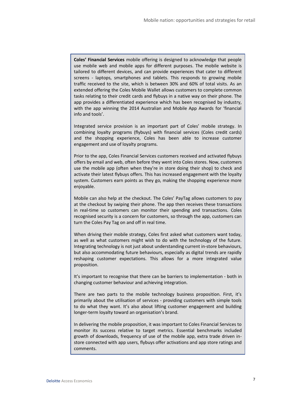**Coles' Financial Services** mobile offering is designed to acknowledge that people use mobile web and mobile apps for different purposes. The mobile website is tailored to different devices, and can provide experiences that cater to different screens - laptops, smartphones and tablets. This responds to growing mobile traffic received to the site, which is between 30% and 60% of total visits. As an extended offering the Coles Mobile Wallet allows customers to complete common tasks relating to their credit cards and flybuys in a native way on their phone. The app provides a differentiated experience which has been recognised by industry, with the app winning the 2014 Australian and Mobile App Awards for 'financial info and tools'.

Integrated service provision is an important part of Coles' mobile strategy. In combining loyalty programs (flybuys) with financial services (Coles credit cards) and the shopping experience, Coles has been able to increase customer engagement and use of loyalty programs.

Prior to the app, Coles Financial Services customers received and activated flybuys offers by email and web, often before they went into Coles stores. Now, customers use the mobile app (often when they're in store doing their shop) to check and activate their latest flybuys offers. This has increased engagement with the loyalty system. Customers earn points as they go, making the shopping experience more enjoyable.

Mobile can also help at the checkout. The Coles' PayTag allows customers to pay at the checkout by swiping their phone. The app then receives these transactions in real-time so customers can monitor their spending and transactions. Coles recognised security is a concern for customers, so through the app, customers can turn the Coles Pay Tag on and off in real time.

When driving their mobile strategy, Coles first asked what customers want today, as well as what customers might wish to do with the technology of the future. Integrating technology is not just about understanding current in-store behaviours, but also accommodating future behaviours, especially as digital trends are rapidly reshaping customer expectations. This allows for a more integrated value proposition.

It's important to recognise that there can be barriers to implementation - both in changing customer behaviour and achieving integration.

There are two parts to the mobile technology business proposition. First, it's primarily about the utilisation of services - providing customers with simple tools to do what they want. It's also about lifting customer engagement and building longer-term loyalty toward an organisation's brand.

In delivering the mobile proposition, it was important to Coles Financial Services to monitor its success relative to target metrics. Essential benchmarks included growth of downloads, frequency of use of the mobile app, extra trade driven instore connected with app users, flybuys offer activations and app store ratings and comments.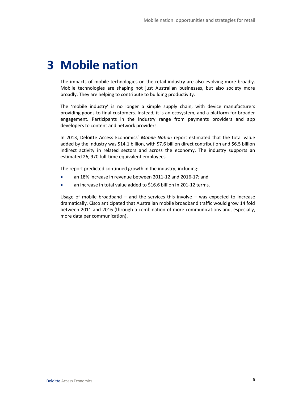## **3 Mobile nation**

The impacts of mobile technologies on the retail industry are also evolving more broadly. Mobile technologies are shaping not just Australian businesses, but also society more broadly. They are helping to contribute to building productivity.

The 'mobile industry' is no longer a simple supply chain, with device manufacturers providing goods to final customers. Instead, it is an ecosystem, and a platform for broader engagement. Participants in the industry range from payments providers and app developers to content and network providers.

In 2013, Deloitte Access Economics' *Mobile Nation* report estimated that the total value added by the industry was \$14.1 billion, with \$7.6 billion direct contribution and \$6.5 billion indirect activity in related sectors and across the economy. The industry supports an estimated 26, 970 full-time equivalent employees.

The report predicted continued growth in the industry, including:

- an 18% increase in revenue between 2011-12 and 2016-17; and
- an increase in total value added to \$16.6 billion in 201-12 terms.

Usage of mobile broadband  $-$  and the services this involve  $-$  was expected to increase dramatically. Cisco anticipated that Australian mobile broadband traffic would grow 14 fold between 2011 and 2016 (through a combination of more communications and, especially, more data per communication).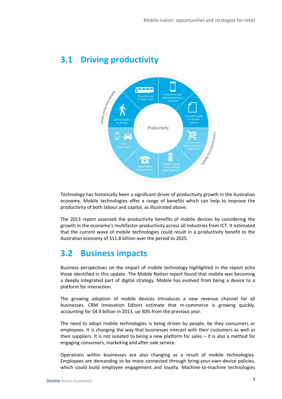

### **3.1 Driving productivity**

Technology has historically been a significant driver of productivity growth in the Australian economy. Mobile technologies offer a range of benefits which can help to improve the productivity of both labour and capital, as illustrated above.

The 2013 report assessed the productivity benefits of mobile devices by considering the growth in the economy's multifactor productivity across all industries from ICT. It estimated that the current wave of mobile technologies could result in a productivity benefit to the Australian economy of \$11.8 billion over the period to 2025.

### **3.2 Business impacts**

Business perspectives on the impact of mobile technology highlighted in the report echo those identified in this update. The Mobile Nation report found that mobile was becoming a deeply integrated part of digital strategy. Mobile has evolved from being a device to a platform for interaction.

The growing adoption of mobile devices introduces a new revenue channel for all businesses. CRM Innovation Editors estimate that m-commerce is growing quickly, accounting for \$4.9 billion in 2013, up 30% from the previous year.

The need to adopt mobile technologies is being driven by people, be they consumers or employees. It is changing the way that businesses interact with their customers as well as their suppliers. It is not isolated to being a new platform for sales – it is also a method for engaging consumers, marketing and after-sale service.

Operations within businesses are also changing as a result of mobile technologies. Employees are demanding to be more connected through bring-your-own-device policies, which could build employee engagement and loyalty. Machine-to-machine technologies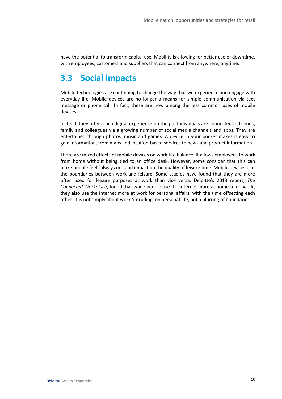have the potential to transform capital use. Mobility is allowing for better use of downtime, with employees, customers and suppliers that can connect from anywhere, anytime.

### **3.3 Social impacts**

Mobile technologies are continuing to change the way that we experience and engage with everyday life. Mobile devices are no longer a means for simple communication via text message or phone call. In fact, these are now among the less common uses of mobile devices.

Instead, they offer a rich digital experience on the go. Individuals are connected to friends, family and colleagues via a growing number of social media channels and apps. They are entertained through photos, music and games. A device in your pocket makes it easy to gain information, from maps and location-based services to news and product information.

There are mixed effects of mobile devices on work-life balance. It allows employees to work from home without being tied to an office desk. However, some consider that this can make people feel "always on" and impact on the quality of leisure time. Mobile devices blur the boundaries between work and leisure. Some studies have found that they are more often used for leisure purposes at work than vice versa. Deloitte's 2013 report, *The Connected Workplace*, found that while people use the internet more at home to do work, they also use the internet more at work for personal affairs, with the time offsetting each other. It is not simply about work 'intruding' on personal life, but a blurring of boundaries.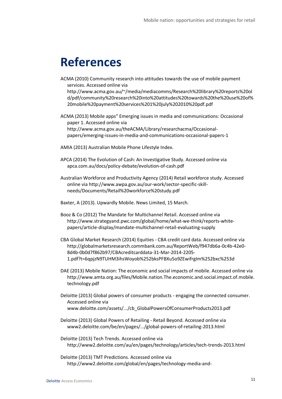### **References**

ACMA (2010) Community research into attitudes towards the use of mobile payment services. Accessed online via http://www.acma.gov.au/~/media/mediacomms/Research%20library%20reports%20ol d/pdf/community%20research%20into%20attitudes%20towards%20the%20use%20of% 20mobile%20payment%20services%201%20july%202010%20pdf.pdf

ACMA (2013) Mobile apps" Emerging issues in media and communications: Occasional paper 1. Accessed online via http://www.acma.gov.au/theACMA/Library/researchacma/Occasionalpapers/emerging-issues-in-media-and-communications-occasional-papers-1

- AMIA (2013) Australian Mobile Phone Lifestyle Index.
- APCA (2014) The Evolution of Cash: An Investigative Study. Accessed online via apca.com.au/docs/policy-debate/evolution-of-cash.pdf
- Australian Workforce and Productivity Agency (2014) Retail workforce study. Accessed online via http://www.awpa.gov.au/our-work/sector-specific-skillneeds/Documents/Retail%20workforce%20study.pdf
- Baxter, A (2013). Upwardly Mobile. News Limited, 15 March.
- Booz & Co (2012) The Mandate for Multichannel Retail. Accessed online via http://www.strategyand.pwc.com/global/home/what-we-think/reports-whitepapers/article-display/mandate-multichannel-retail-evaluating-supply
- CBA Global Market Research (2014) Equities CBA credit card data. Accessed online via http://globalmarketsresearch.commbank.com.au/ReportWeb/f947db6a-0c4b-42e0- 8d4b-0b0d7f862b97/CBAcreditcarddata-31-Mar-2014-2205- 1.pdf?t=6qpjzN9TUHM3ihsWoyob%252bksPFBXu5o9ZEwifrgIm%252bxc%253d
- DAE (2013) Mobile Nation: The economic and social impacts of mobile. Accessed online via http://www.amta.org.au/files/Mobile.nation.The.economic.and.social.impact.of.mobile. technology.pdf
- Deloitte (2013) Global powers of consumer products engaging the connected consumer. Accessed online via www.deloitte.com/assets/.../cb\_GlobalPowersOfConsumerProducts2013.pdf
- Deloitte (2013) Global Powers of Retailing Retail Beyond. Accessed online via www2.deloitte.com/be/en/pages/.../global-powers-of-retailing-2013.html
- Deloitte (2013) Tech Trends. Accessed online via http://www2.deloitte.com/au/en/pages/technology/articles/tech-trends-2013.html
- Deloitte (2013) TMT Predictions. Accessed online via http://www2.deloitte.com/global/en/pages/technology-media-and-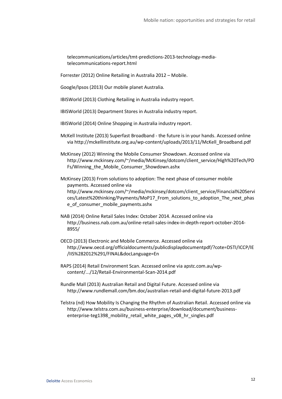telecommunications/articles/tmt-predictions-2013-technology-mediatelecommunications-report.html

Forrester (2012) Online Retailing in Australia 2012 – Mobile.

Google/Ipsos (2013) Our mobile planet Australia.

IBISWorld (2013) Clothing Retailing in Australia industry report.

IBISWorld (2013) Department Stores in Australia industry report.

IBISWorld (2014) Online Shopping in Australia industry report.

McKell Institute (2013) Superfast Broadband - the future is in your hands. Accessed online via http://mckellinstitute.org.au/wp-content/uploads/2013/11/McKell\_Broadband.pdf

McKinsey (2012) Winning the Mobile Consumer Showdown. Accessed online via http://www.mckinsey.com/~/media/McKinsey/dotcom/client\_service/High%20Tech/PD Fs/Winning\_the\_Mobile\_Consumer\_Showdown.ashx

McKinsey (2013) From solutions to adoption: The next phase of consumer mobile payments. Accessed online via http://www.mckinsey.com/~/media/mckinsey/dotcom/client\_service/Financial%20Servi ces/Latest%20thinking/Payments/MoP17\_From\_solutions\_to\_adoption\_The\_next\_phas e\_of\_consumer\_mobile\_payments.ashx

- NAB (2014) Online Retail Sales Index: October 2014. Accessed online via http://business.nab.com.au/online-retail-sales-index-in-depth-report-october-2014- 8955/
- OECD (2013) Electronic and Mobile Commerce. Accessed online via http://www.oecd.org/officialdocuments/publicdisplaydocumentpdf/?cote=DSTI/ICCP/IE /IIS%282012%291/FINAL&docLanguage=En
- RAPS (2014) Retail Environment Scan. Accessed online via apstc.com.au/wpcontent/.../12/Retail-Environmental-Scan-2014.pdf
- Rundle Mall (2013) Australian Retail and Digital Future. Accessed online via http://www.rundlemall.com/bm.doc/australian-retail-and-digital-future-2013.pdf

Telstra (nd) How Mobility Is Changing the Rhythm of Australian Retail. Accessed online via http://www.telstra.com.au/business-enterprise/download/document/businessenterprise-teg1398 mobility retail white pages v08 hr singles.pdf